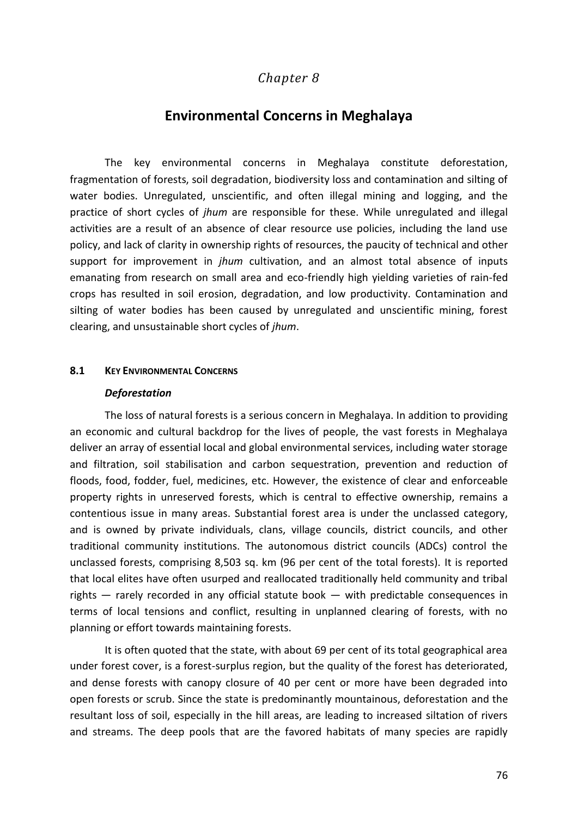# *Chapter 8*

## **Environmental Concerns in Meghalaya**

The key environmental concerns in Meghalaya constitute deforestation, fragmentation of forests, soil degradation, biodiversity loss and contamination and silting of water bodies. Unregulated, unscientific, and often illegal mining and logging, and the practice of short cycles of *jhum* are responsible for these. While unregulated and illegal activities are a result of an absence of clear resource use policies, including the land use policy, and lack of clarity in ownership rights of resources, the paucity of technical and other support for improvement in *jhum* cultivation, and an almost total absence of inputs emanating from research on small area and eco-friendly high yielding varieties of rain-fed crops has resulted in soil erosion, degradation, and low productivity. Contamination and silting of water bodies has been caused by unregulated and unscientific mining, forest clearing, and unsustainable short cycles of *jhum*.

### **8.1 KEY ENVIRONMENTAL CONCERNS**

#### *Deforestation*

The loss of natural forests is a serious concern in Meghalaya. In addition to providing an economic and cultural backdrop for the lives of people, the vast forests in Meghalaya deliver an array of essential local and global environmental services, including water storage and filtration, soil stabilisation and carbon sequestration, prevention and reduction of floods, food, fodder, fuel, medicines, etc. However, the existence of clear and enforceable property rights in unreserved forests, which is central to effective ownership, remains a contentious issue in many areas. Substantial forest area is under the unclassed category, and is owned by private individuals, clans, village councils, district councils, and other traditional community institutions. The autonomous district councils (ADCs) control the unclassed forests, comprising 8,503 sq. km (96 per cent of the total forests). It is reported that local elites have often usurped and reallocated traditionally held community and tribal rights — rarely recorded in any official statute book — with predictable consequences in terms of local tensions and conflict, resulting in unplanned clearing of forests, with no planning or effort towards maintaining forests.

It is often quoted that the state, with about 69 per cent of its total geographical area under forest cover, is a forest-surplus region, but the quality of the forest has deteriorated, and dense forests with canopy closure of 40 per cent or more have been degraded into open forests or scrub. Since the state is predominantly mountainous, deforestation and the resultant loss of soil, especially in the hill areas, are leading to increased siltation of rivers and streams. The deep pools that are the favored habitats of many species are rapidly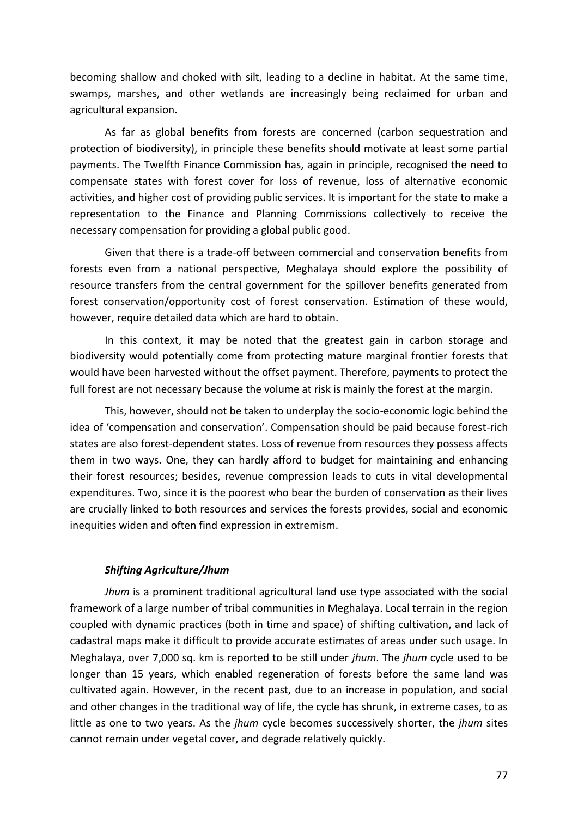becoming shallow and choked with silt, leading to a decline in habitat. At the same time, swamps, marshes, and other wetlands are increasingly being reclaimed for urban and agricultural expansion.

As far as global benefits from forests are concerned (carbon sequestration and protection of biodiversity), in principle these benefits should motivate at least some partial payments. The Twelfth Finance Commission has, again in principle, recognised the need to compensate states with forest cover for loss of revenue, loss of alternative economic activities, and higher cost of providing public services. It is important for the state to make a representation to the Finance and Planning Commissions collectively to receive the necessary compensation for providing a global public good.

Given that there is a trade-off between commercial and conservation benefits from forests even from a national perspective, Meghalaya should explore the possibility of resource transfers from the central government for the spillover benefits generated from forest conservation/opportunity cost of forest conservation. Estimation of these would, however, require detailed data which are hard to obtain.

In this context, it may be noted that the greatest gain in carbon storage and biodiversity would potentially come from protecting mature marginal frontier forests that would have been harvested without the offset payment. Therefore, payments to protect the full forest are not necessary because the volume at risk is mainly the forest at the margin.

This, however, should not be taken to underplay the socio-economic logic behind the idea of 'compensation and conservation'. Compensation should be paid because forest-rich states are also forest-dependent states. Loss of revenue from resources they possess affects them in two ways. One, they can hardly afford to budget for maintaining and enhancing their forest resources; besides, revenue compression leads to cuts in vital developmental expenditures. Two, since it is the poorest who bear the burden of conservation as their lives are crucially linked to both resources and services the forests provides, social and economic inequities widen and often find expression in extremism.

### *Shifting Agriculture/Jhum*

*Jhum* is a prominent traditional agricultural land use type associated with the social framework of a large number of tribal communities in Meghalaya. Local terrain in the region coupled with dynamic practices (both in time and space) of shifting cultivation, and lack of cadastral maps make it difficult to provide accurate estimates of areas under such usage. In Meghalaya, over 7,000 sq. km is reported to be still under *jhum*. The *jhum* cycle used to be longer than 15 years, which enabled regeneration of forests before the same land was cultivated again. However, in the recent past, due to an increase in population, and social and other changes in the traditional way of life, the cycle has shrunk, in extreme cases, to as little as one to two years. As the *jhum* cycle becomes successively shorter, the *jhum* sites cannot remain under vegetal cover, and degrade relatively quickly.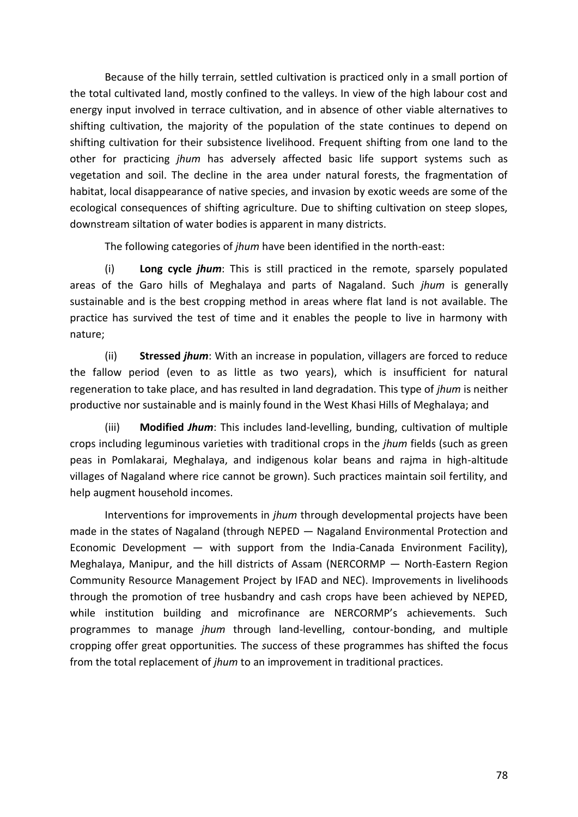Because of the hilly terrain, settled cultivation is practiced only in a small portion of the total cultivated land, mostly confined to the valleys. In view of the high labour cost and energy input involved in terrace cultivation, and in absence of other viable alternatives to shifting cultivation, the majority of the population of the state continues to depend on shifting cultivation for their subsistence livelihood. Frequent shifting from one land to the other for practicing *jhum* has adversely affected basic life support systems such as vegetation and soil. The decline in the area under natural forests, the fragmentation of habitat, local disappearance of native species, and invasion by exotic weeds are some of the ecological consequences of shifting agriculture. Due to shifting cultivation on steep slopes, downstream siltation of water bodies is apparent in many districts.

The following categories of *jhum* have been identified in the north-east:

(i) **Long cycle** *jhum*: This is still practiced in the remote, sparsely populated areas of the Garo hills of Meghalaya and parts of Nagaland. Such *jhum* is generally sustainable and is the best cropping method in areas where flat land is not available. The practice has survived the test of time and it enables the people to live in harmony with nature;

(ii) **Stressed** *jhum*: With an increase in population, villagers are forced to reduce the fallow period (even to as little as two years), which is insufficient for natural regeneration to take place, and has resulted in land degradation. This type of *jhum* is neither productive nor sustainable and is mainly found in the West Khasi Hills of Meghalaya; and

(iii) **Modified** *Jhum*: This includes land-levelling, bunding, cultivation of multiple crops including leguminous varieties with traditional crops in the *jhum* fields (such as green peas in Pomlakarai, Meghalaya, and indigenous kolar beans and rajma in high-altitude villages of Nagaland where rice cannot be grown). Such practices maintain soil fertility, and help augment household incomes.

Interventions for improvements in *jhum* through developmental projects have been made in the states of Nagaland (through NEPED — Nagaland Environmental Protection and Economic Development  $-$  with support from the India-Canada Environment Facility), Meghalaya, Manipur, and the hill districts of Assam (NERCORMP — North-Eastern Region Community Resource Management Project by IFAD and NEC). Improvements in livelihoods through the promotion of tree husbandry and cash crops have been achieved by NEPED, while institution building and microfinance are NERCORMP's achievements. Such programmes to manage *jhum* through land-levelling, contour-bonding, and multiple cropping offer great opportunities*.* The *s*uccess of these programmes has shifted the focus from the total replacement of *jhum* to an improvement in traditional practices.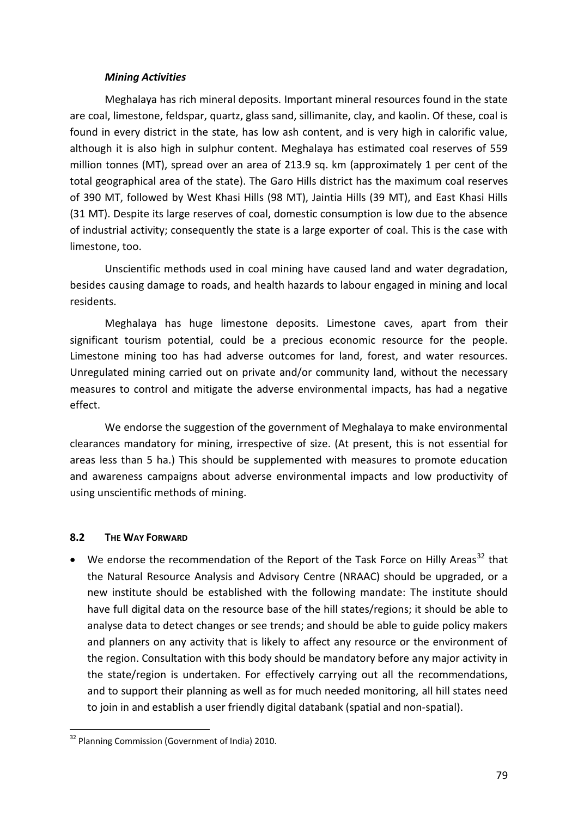### *Mining Activities*

Meghalaya has rich mineral deposits. Important mineral resources found in the state are coal, limestone, feldspar, quartz, glass sand, sillimanite, clay, and kaolin. Of these, coal is found in every district in the state, has low ash content, and is very high in calorific value, although it is also high in sulphur content. Meghalaya has estimated coal reserves of 559 million tonnes (MT), spread over an area of 213.9 sq. km (approximately 1 per cent of the total geographical area of the state). The Garo Hills district has the maximum coal reserves of 390 MT, followed by West Khasi Hills (98 MT), Jaintia Hills (39 MT), and East Khasi Hills (31 MT). Despite its large reserves of coal, domestic consumption is low due to the absence of industrial activity; consequently the state is a large exporter of coal. This is the case with limestone, too.

Unscientific methods used in coal mining have caused land and water degradation, besides causing damage to roads, and health hazards to labour engaged in mining and local residents.

Meghalaya has huge limestone deposits. Limestone caves, apart from their significant tourism potential, could be a precious economic resource for the people. Limestone mining too has had adverse outcomes for land, forest, and water resources. Unregulated mining carried out on private and/or community land, without the necessary measures to control and mitigate the adverse environmental impacts, has had a negative effect.

We endorse the suggestion of the government of Meghalaya to make environmental clearances mandatory for mining, irrespective of size. (At present, this is not essential for areas less than 5 ha.) This should be supplemented with measures to promote education and awareness campaigns about adverse environmental impacts and low productivity of using unscientific methods of mining.

## **8.2 THE WAY FORWARD**

 $\bullet$  We endorse the recommendation of the Report of the Task Force on Hilly Areas<sup>32</sup> that the Natural Resource Analysis and Advisory Centre (NRAAC) should be upgraded, or a new institute should be established with the following mandate: The institute should have full digital data on the resource base of the hill states/regions; it should be able to analyse data to detect changes or see trends; and should be able to guide policy makers and planners on any activity that is likely to affect any resource or the environment of the region. Consultation with this body should be mandatory before any major activity in the state/region is undertaken. For effectively carrying out all the recommendations, and to support their planning as well as for much needed monitoring, all hill states need to join in and establish a user friendly digital databank (spatial and non-spatial).

<sup>1</sup> <sup>32</sup> Planning Commission (Government of India) 2010.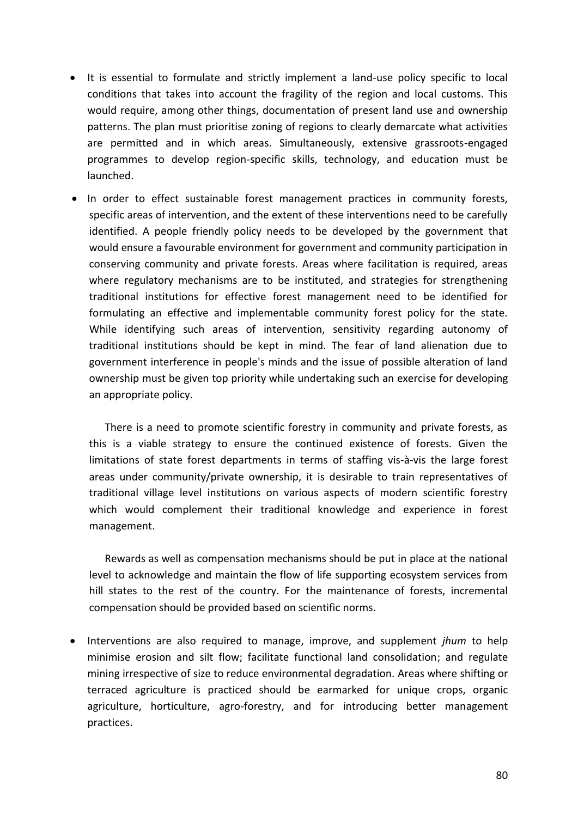- It is essential to formulate and strictly implement a land-use policy specific to local conditions that takes into account the fragility of the region and local customs. This would require, among other things, documentation of present land use and ownership patterns. The plan must prioritise zoning of regions to clearly demarcate what activities are permitted and in which areas. Simultaneously, extensive grassroots-engaged programmes to develop region-specific skills, technology, and education must be launched.
- In order to effect sustainable forest management practices in community forests, specific areas of intervention, and the extent of these interventions need to be carefully identified. A people friendly policy needs to be developed by the government that would ensure a favourable environment for government and community participation in conserving community and private forests. Areas where facilitation is required, areas where regulatory mechanisms are to be instituted, and strategies for strengthening traditional institutions for effective forest management need to be identified for formulating an effective and implementable community forest policy for the state. While identifying such areas of intervention, sensitivity regarding autonomy of traditional institutions should be kept in mind. The fear of land alienation due to government interference in people's minds and the issue of possible alteration of land ownership must be given top priority while undertaking such an exercise for developing an appropriate policy.

There is a need to promote scientific forestry in community and private forests, as this is a viable strategy to ensure the continued existence of forests. Given the limitations of state forest departments in terms of staffing vis-à-vis the large forest areas under community/private ownership, it is desirable to train representatives of traditional village level institutions on various aspects of modern scientific forestry which would complement their traditional knowledge and experience in forest management.

Rewards as well as compensation mechanisms should be put in place at the national level to acknowledge and maintain the flow of life supporting ecosystem services from hill states to the rest of the country. For the maintenance of forests, incremental compensation should be provided based on scientific norms.

 Interventions are also required to manage, improve, and supplement *jhum* to help minimise erosion and silt flow; facilitate functional land consolidation; and regulate mining irrespective of size to reduce environmental degradation. Areas where shifting or terraced agriculture is practiced should be earmarked for unique crops, organic agriculture, horticulture, agro-forestry, and for introducing better management practices.